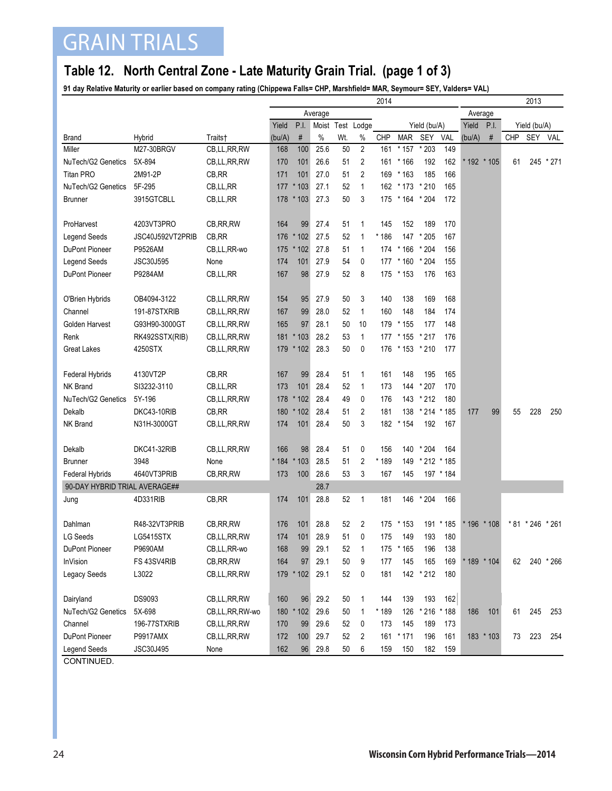## GRAIN TRIALS

#### **Table 12. North Central Zone - Late Maturity Grain Trial. (page 1 of 3)**

**91 day Relative Maturity or earlier based on company rating (Chippewa Falls= CHP, Marshfield= MAR, Seymour= SEY, Valders= VAL)**

|                               |                  |                | 2014    |           |                  |     |                |            |              |                 |           |               | 2013      |              |            |           |  |  |
|-------------------------------|------------------|----------------|---------|-----------|------------------|-----|----------------|------------|--------------|-----------------|-----------|---------------|-----------|--------------|------------|-----------|--|--|
|                               |                  |                | Average |           |                  |     |                |            |              | Average         |           |               |           |              |            |           |  |  |
|                               |                  |                | Yield   | P.I.      | Moist Test Lodge |     |                |            |              | Yield (bu/A)    |           | Yield<br>P.I. |           | Yield (bu/A) |            |           |  |  |
| <b>Brand</b>                  | Hybrid           | Traits†        | (bu/A)  | $\#$      | $\%$             | Wt. | $\%$           | <b>CHP</b> | <b>MAR</b>   | SEY             | VAL       | (bu/A)        | $\#$      | <b>CHP</b>   | SEY        | VAL       |  |  |
| Miller                        | M27-30BRGV       | CB,LL,RR,RW    | 168     | 100       | 25.6             | 50  | $\overline{2}$ | 161        | * 157        | $*203$          | 149       |               |           |              |            |           |  |  |
| NuTech/G2 Genetics            | 5X-894           | CB,LL,RR,RW    | 170     | 101       | 26.6             | 51  | 2              | 161        | * 166        | 192             | 162       | * 192 * 105   |           | 61           |            | 245 * 271 |  |  |
| <b>Titan PRO</b>              | 2M91-2P          | CB, RR         | 171     | 101       | 27.0             | 51  | 2              | 169        | $*163$       | 185             | 166       |               |           |              |            |           |  |  |
| NuTech/G2 Genetics            | 5F-295           | CB,LL,RR       | 177     | $*103$    | 27.1             | 52  | $\mathbf{1}$   | 162        | * 173        | $*210$          | 165       |               |           |              |            |           |  |  |
| <b>Brunner</b>                | 3915GTCBLL       | CB,LL,RR       |         | 178 * 103 | 27.3             | 50  | 3              | 175        | $*164 * 204$ |                 | 172       |               |           |              |            |           |  |  |
|                               |                  |                |         |           |                  |     |                |            |              |                 |           |               |           |              |            |           |  |  |
| ProHarvest                    | 4203VT3PRO       | CB, RR, RW     | 164     | 99        | 27.4             | 51  | 1              | 145        | 152          | 189             | 170       |               |           |              |            |           |  |  |
| Legend Seeds                  | JSC40J592VT2PRIB | CB, RR         | 176     | $*102$    | 27.5             | 52  | $\mathbf{1}$   | * 186      | 147          | $*205$          | 167       |               |           |              |            |           |  |  |
| DuPont Pioneer                | P9526AM          | CB,LL,RR-wo    | 175     | $*102$    | 27.8             | 51  | $\mathbf{1}$   | 174        | * 166        | * 204           | 156       |               |           |              |            |           |  |  |
| Legend Seeds                  | JSC30J595        | None           | 174     | 101       | 27.9             | 54  | 0              | 177        | $*160$       | * 204           | 155       |               |           |              |            |           |  |  |
| DuPont Pioneer                | P9284AM          | CB,LL,RR       | 167     | 98        | 27.9             | 52  | 8              | 175        | $*153$       | 176             | 163       |               |           |              |            |           |  |  |
|                               |                  |                |         |           |                  |     |                |            |              |                 |           |               |           |              |            |           |  |  |
| O'Brien Hybrids               | OB4094-3122      | CB,LL,RR,RW    | 154     | 95        | 27.9             | 50  | 3              | 140        | 138          | 169             | 168       |               |           |              |            |           |  |  |
| Channel                       | 191-87STXRIB     | CB,LL,RR,RW    | 167     | 99        | 28.0             | 52  | $\mathbf{1}$   | 160        | 148          | 184             | 174       |               |           |              |            |           |  |  |
| Golden Harvest                | G93H90-3000GT    | CB,LL,RR,RW    | 165     | 97        | 28.1             | 50  | 10             | 179        | * 155        | 177             | 148       |               |           |              |            |           |  |  |
| Renk                          | RK492SSTX(RIB)   | CB, LL, RR, RW | 181     | $*103$    | 28.2             | 53  | $\mathbf{1}$   | 177        | $*155$       | * 217           | 176       |               |           |              |            |           |  |  |
| <b>Great Lakes</b>            | 4250STX          | CB, LL, RR, RW |         | 179 * 102 | 28.3             | 50  | 0              | 176        | * 153 * 210  |                 | 177       |               |           |              |            |           |  |  |
|                               |                  |                |         |           |                  |     |                |            |              |                 |           |               |           |              |            |           |  |  |
| Federal Hybrids               | 4130VT2P         | CB, RR         | 167     | 99        | 28.4             | 51  | $\mathbf{1}$   | 161        | 148          | 195             | 165       |               |           |              |            |           |  |  |
| NK Brand                      | SI3232-3110      | CB, LL, RR     | 173     | 101       | 28.4             | 52  | $\mathbf{1}$   | 173        | 144          | $*207$          | 170       |               |           |              |            |           |  |  |
| NuTech/G2 Genetics            | 5Y-196           | CB,LL,RR,RW    | 178     | $*102$    | 28.4             | 49  | 0              | 176        |              | 143 * 212       | 180       |               |           |              |            |           |  |  |
| Dekalb                        | DKC43-10RIB      | CB, RR         | 180     | * 102     | 28.4             | 51  | 2              | 181        | 138          | $*214$          | * 185     | 177           | 99        | 55           | 228        | 250       |  |  |
| NK Brand                      | N31H-3000GT      | CB,LL,RR,RW    | 174     | 101       | 28.4             | 50  | 3              | 182        | $*154$       | 192             | 167       |               |           |              |            |           |  |  |
|                               |                  |                |         |           |                  |     |                |            |              |                 |           |               |           |              |            |           |  |  |
| Dekalb                        | DKC41-32RIB      | CB,LL,RR,RW    | 166     | 98        | 28.4             | 51  | 0              | 156        | 140          | $*204$          | 164       |               |           |              |            |           |  |  |
| <b>Brunner</b>                | 3948             | None           | $*184$  | $*103$    | 28.5             | 51  | 2              | * 189      |              | 149 * 212 * 185 |           |               |           |              |            |           |  |  |
| Federal Hybrids               | 4640VT3PRIB      | CB, RR, RW     | 173     | 100       | 28.6             | 53  | 3              | 167        | 145          |                 | 197 * 184 |               |           |              |            |           |  |  |
| 90-DAY HYBRID TRIAL AVERAGE## |                  |                |         |           | 28.7             |     |                |            |              |                 |           |               |           |              |            |           |  |  |
| Jung                          | 4D331RIB         | CB, RR         | 174     | 101       | 28.8             | 52  | $\mathbf{1}$   | 181        | 146          | $*204$          | 166       |               |           |              |            |           |  |  |
|                               |                  |                |         |           |                  |     |                |            |              |                 |           |               |           |              |            |           |  |  |
| Dahlman                       | R48-32VT3PRIB    | CB, RR, RW     | 176     | 101       | 28.8             | 52  | 2              | 175        | $*153$       |                 | 191 * 185 | * 196 * 108   |           |              | * 81 * 246 | $*261$    |  |  |
| <b>LG Seeds</b>               | <b>LG5415STX</b> | CB, LL, RR, RW | 174     | 101       | 28.9             | 51  | 0              | 175        | 149          | 193             | 180       |               |           |              |            |           |  |  |
| DuPont Pioneer                | P9690AM          | CB,LL,RR-wo    | 168     | 99        | 29.1             | 52  | $\mathbf{1}$   | 175        | $*165$       | 196             | 138       |               |           |              |            |           |  |  |
| <b>InVision</b>               | FS 43SV4RIB      | CB, RR, RW     | 164     | 97        | 29.1             | 50  | 9              | 177        | 145          | 165             | 169       | * 189 * 104   |           | 62           | 240        | $*266$    |  |  |
| Legacy Seeds                  | L3022            | CB,LL,RR,RW    |         | 179 * 102 | 29.1             | 52  | 0              | 181        |              | 142 * 212       | 180       |               |           |              |            |           |  |  |
|                               |                  |                |         |           |                  |     |                |            |              |                 |           |               |           |              |            |           |  |  |
| Dairyland                     | DS9093           | CB,LL,RR,RW    | 160     | 96        | 29.2             | 50  | 1              | 144        | 139          | 193             | 162       |               |           |              |            |           |  |  |
| NuTech/G2 Genetics            | 5X-698           | CB,LL,RR,RW-wo | 180     | $*102$    | 29.6             | 50  | 1              | * 189      | 126          | * 216 * 188     |           | 186           | 101       | 61           | 245        | 253       |  |  |
| Channel                       | 196-77STXRIB     | CB,LL,RR,RW    | 170     | 99        | 29.6             | 52  | 0              | 173        | 145          | 189             | 173       |               |           |              |            |           |  |  |
| DuPont Pioneer                | <b>P9917AMX</b>  | CB,LL,RR,RW    | 172     | 100       | 29.7             | 52  | 2              | 161        | $*171$       | 196             | 161       |               | 183 * 103 | 73           | 223        | 254       |  |  |
| <b>Legend Seeds</b>           | JSC30J495        | None           | 162     | 96        | 29.8             | 50  | 6              | 159        | 150          | 182             | 159       |               |           |              |            |           |  |  |
|                               |                  |                |         |           |                  |     |                |            |              |                 |           |               |           |              |            |           |  |  |

CONTINUED.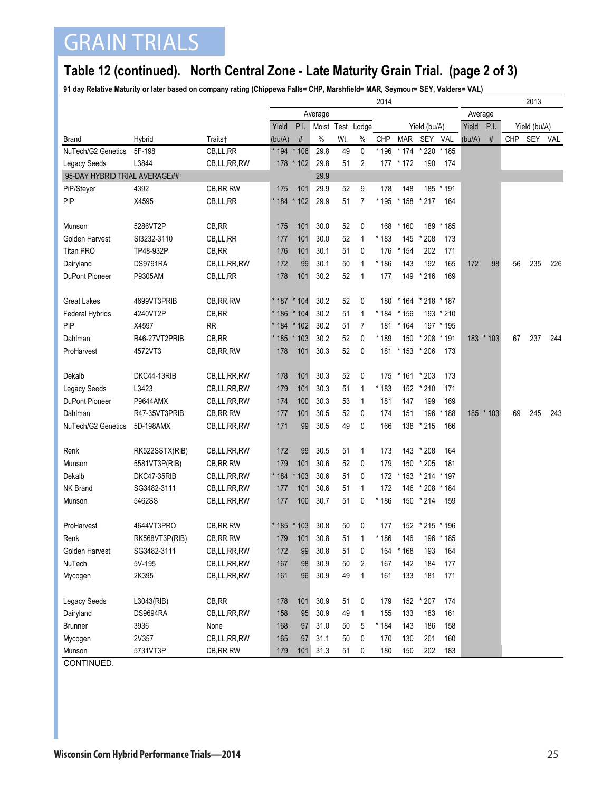# GRAIN TRIALS

#### **Table 12 (continued). North Central Zone - Late Maturity Grain Trial. (page 2 of 3)**

**91 day Relative Maturity or later based on company rating (Chippewa Falls= CHP, Marshfield= MAR, Seymour= SEY, Valders= VAL)**

|                               |                 |             | 2014                              |               |              |     |                |               |                   |                   |           | 2013    |           |     |     |     |  |
|-------------------------------|-----------------|-------------|-----------------------------------|---------------|--------------|-----|----------------|---------------|-------------------|-------------------|-----------|---------|-----------|-----|-----|-----|--|
|                               |                 |             |                                   | Average       |              |     |                |               |                   |                   |           | Average |           |     |     |     |  |
|                               |                 |             | Yield<br>P.I.<br>Moist Test Lodge |               | Yield (bu/A) |     |                | Yield<br>P.I. |                   | Yield (bu/A)      |           |         |           |     |     |     |  |
| <b>Brand</b>                  | Hybrid          | Traits†     | (bu/A)                            | $\#$          | $\%$         | Wt. | $\%$           | CHP           | <b>MAR</b>        | SEY               | VAL       | (bu/A)  | $\#$      | CHP | SEY | VAL |  |
| NuTech/G2 Genetics            | 5F-198          | CB,LL,RR    | $*194$                            | $*106$        | 29.8         | 49  | 0              | * 196         | $*174$            | * 220             | * 185     |         |           |     |     |     |  |
| <b>Legacy Seeds</b>           | L3844           | CB,LL,RR,RW |                                   | 178 * 102     | 29.8         | 51  | 2              | 177           | * 172             | 190               | 174       |         |           |     |     |     |  |
| 95-DAY HYBRID TRIAL AVERAGE## |                 |             |                                   |               | 29.9         |     |                |               |                   |                   |           |         |           |     |     |     |  |
| PiP/Steyer                    | 4392            | CB, RR, RW  | 175                               | 101           | 29.9         | 52  | 9              | 178           | 148               |                   | 185 * 191 |         |           |     |     |     |  |
| PIP                           | X4595           | CB,LL,RR    |                                   | * 184 * 102   | 29.9         | 51  | $\overline{7}$ | * 195         | $*158$            | $*217$            | 164       |         |           |     |     |     |  |
|                               |                 |             |                                   |               |              |     |                |               |                   |                   |           |         |           |     |     |     |  |
| Munson                        | 5286VT2P        | CB, RR      | 175                               | 101           | 30.0         | 52  | 0              | 168           | $*160$            | 189               | * 185     |         |           |     |     |     |  |
| Golden Harvest                | SI3232-3110     | CB,LL,RR    | 177                               | 101           | 30.0         | 52  | 1              | * 183         | 145               | * 208             | 173       |         |           |     |     |     |  |
| <b>Titan PRO</b>              | TP48-932P       | CB, RR      | 176                               | 101           | 30.1         | 51  | 0              | 176           | $*154$            | 202               | 171       |         |           |     |     |     |  |
| Dairyland                     | <b>DS9791RA</b> | CB,LL,RR,RW | 172                               | 99            | 30.1         | 50  | 1              | * 186         | 143               | 192               | 165       | 172     | 98        | 56  | 235 | 226 |  |
| <b>DuPont Pioneer</b>         | P9305AM         | CB,LL,RR    | 178                               | 101           | 30.2         | 52  | $\mathbf{1}$   | 177           | 149               | $*216$            | 169       |         |           |     |     |     |  |
|                               |                 |             |                                   |               |              |     |                |               |                   |                   |           |         |           |     |     |     |  |
| <b>Great Lakes</b>            | 4699VT3PRIB     | CB, RR, RW  |                                   | * 187 * 104   | 30.2         | 52  | 0              | 180           |                   | * 164 * 218 * 187 |           |         |           |     |     |     |  |
| Federal Hybrids               | 4240VT2P        | CB, RR      |                                   | * 186 * 104   | 30.2         | 51  | 1              | $*184$        | $*156$            |                   | 193 * 210 |         |           |     |     |     |  |
| PIP                           | X4597           | RR          |                                   | $* 184 * 102$ | 30.2         | 51  | $\overline{7}$ | 181           | $*164$            |                   | 197 * 195 |         |           |     |     |     |  |
| Dahlman                       | R46-27VT2PRIB   | CB, RR      |                                   | $* 185 * 103$ | 30.2         | 52  | 0              | * 189         | 150               | * 208             | * 191     |         | 183 * 103 | 67  | 237 | 244 |  |
| ProHarvest                    | 4572VT3         | CB, RR, RW  | 178                               | 101           | 30.3         | 52  | 0              | 181           | * 153 * 206       |                   | 173       |         |           |     |     |     |  |
|                               |                 |             |                                   |               |              |     |                |               |                   |                   |           |         |           |     |     |     |  |
| Dekalb                        | DKC44-13RIB     | CB,LL,RR,RW | 178                               | 101           | 30.3         | 52  | 0              | 175           | * 161 * 203       |                   | 173       |         |           |     |     |     |  |
| Legacy Seeds                  | L3423           | CB,LL,RR,RW | 179                               | 101           | 30.3         | 51  | 1              | * 183         |                   | 152 * 210         | 171       |         |           |     |     |     |  |
| <b>DuPont Pioneer</b>         | <b>P9644AMX</b> | CB,LL,RR,RW | 174                               | 100           | 30.3         | 53  | 1              | 181           | 147               | 199               | 169       |         |           |     |     |     |  |
| Dahlman                       | R47-35VT3PRIB   | CB, RR, RW  | 177                               | 101           | 30.5         | 52  | 0              | 174           | 151               | 196               | * 188     |         | 185 * 103 | 69  | 245 | 243 |  |
| NuTech/G2 Genetics            | 5D-198AMX       | CB,LL,RR,RW | 171                               | 99            | 30.5         | 49  | 0              | 166           | 138               | $*215$            | 166       |         |           |     |     |     |  |
|                               |                 |             |                                   |               |              |     |                |               |                   |                   |           |         |           |     |     |     |  |
| Renk                          | RK522SSTX(RIB)  | CB,LL,RR,RW | 172                               | 99            | 30.5         | 51  | 1              | 173           |                   | 143 * 208         | 164       |         |           |     |     |     |  |
| Munson                        | 5581VT3P(RIB)   | CB, RR, RW  | 179                               | 101           | 30.6         | 52  | 0              | 179           |                   | 150 * 205         | 181       |         |           |     |     |     |  |
| Dekalb                        | DKC47-35RIB     | CB,LL,RR,RW | $*184$                            | $*103$        | 30.6         | 51  | 0              | 172           | * 153 * 214 * 197 |                   |           |         |           |     |     |     |  |
| NK Brand                      | SG3482-3111     | CB,LL,RR,RW | 177                               | 101           | 30.6         | 51  | $\mathbf{1}$   | 172           | 146               | * 208 * 184       |           |         |           |     |     |     |  |
| Munson                        | 5462SS          | CB,LL,RR,RW | 177                               | 100           | 30.7         | 51  | 0              | * 186         |                   | 150 * 214         | 159       |         |           |     |     |     |  |
|                               |                 |             |                                   |               |              |     |                |               |                   |                   |           |         |           |     |     |     |  |
| ProHarvest                    | 4644VT3PRO      | CB, RR, RW  |                                   | * 185 * 103   | 30.8         | 50  | 0              | 177           |                   | 152 * 215 * 196   |           |         |           |     |     |     |  |
| Renk                          | RK568VT3P(RIB)  | CB, RR, RW  | 179                               | 101           | 30.8         | 51  | 1              | * 186         | 146               |                   | 196 * 185 |         |           |     |     |     |  |
| Golden Harvest                | SG3482-3111     | CB,LL,RR,RW | 172                               | 99            | 30.8         | 51  | 0              | 164           | * 168             | 193               | 164       |         |           |     |     |     |  |
| NuTech                        | 5V-195          | CB,LL,RR,RW | 167                               | 98            | 30.9         | 50  | $\overline{c}$ | 167           | 142               | 184               | 177       |         |           |     |     |     |  |
| Mycogen                       | 2K395           | CB,LL,RR,RW | 161                               | 96            | 30.9         | 49  | $\mathbf{1}$   | 161           | 133               | 181               | 171       |         |           |     |     |     |  |
|                               |                 |             |                                   |               |              |     |                |               |                   |                   |           |         |           |     |     |     |  |
| Legacy Seeds                  | L3043(RIB)      | CB,RR       | 178                               | 101           | 30.9         | 51  | 0              | 179           |                   | 152 * 207         | 174       |         |           |     |     |     |  |
| Dairyland                     | DS9694RA        | CB,LL,RR,RW | 158                               | 95            | 30.9         | 49  | $\mathbf{1}$   | 155           | 133               | 183               | 161       |         |           |     |     |     |  |
| <b>Brunner</b>                | 3936            | None        | 168                               | 97            | 31.0         | 50  | 5              | * 184         | 143               | 186               | 158       |         |           |     |     |     |  |
| Mycogen                       | 2V357           | CB,LL,RR,RW | 165                               | 97            | 31.1         | 50  | 0              | 170           | 130               | 201               | 160       |         |           |     |     |     |  |
| Munson                        | 5731VT3P        | CB, RR, RW  | 179                               | 101           | 31.3         | 51  | 0              | 180           | 150               | 202               | 183       |         |           |     |     |     |  |
| CONTINUIED                    |                 |             |                                   |               |              |     |                |               |                   |                   |           |         |           |     |     |     |  |

CONTINUED.